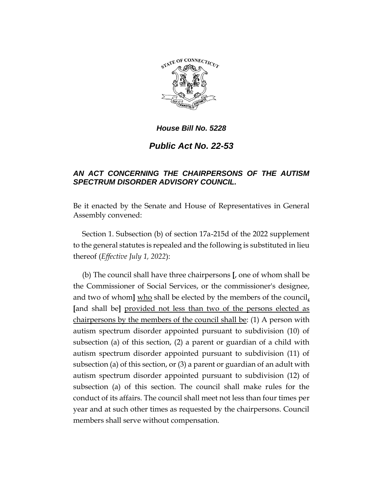

## *House Bill No. 5228*

*Public Act No. 22-53*

## *AN ACT CONCERNING THE CHAIRPERSONS OF THE AUTISM SPECTRUM DISORDER ADVISORY COUNCIL.*

Be it enacted by the Senate and House of Representatives in General Assembly convened:

Section 1. Subsection (b) of section 17a-215d of the 2022 supplement to the general statutes is repealed and the following is substituted in lieu thereof (*Effective July 1, 2022*):

(b) The council shall have three chairpersons **[**, one of whom shall be the Commissioner of Social Services, or the commissioner's designee, and two of whom] who shall be elected by the members of the council, **[**and shall be**]** provided not less than two of the persons elected as chairpersons by the members of the council shall be: (1) A person with autism spectrum disorder appointed pursuant to subdivision (10) of subsection (a) of this section, (2) a parent or guardian of a child with autism spectrum disorder appointed pursuant to subdivision (11) of subsection (a) of this section, or (3) a parent or guardian of an adult with autism spectrum disorder appointed pursuant to subdivision (12) of subsection (a) of this section. The council shall make rules for the conduct of its affairs. The council shall meet not less than four times per year and at such other times as requested by the chairpersons. Council members shall serve without compensation.